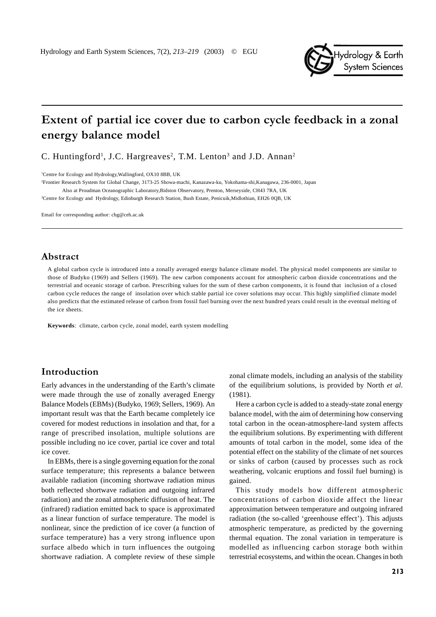

# Extent of partial ice cover due to carbon cycle feedback in a zonal energy balance model

C. Huntingford<sup>1</sup>, J.C. Hargreaves<sup>2</sup>, T.M. Lenton<sup>3</sup> and J.D. Annan<sup>2</sup>

1 Centre for Ecology and Hydrology,Wallingford, OX10 8BB, UK

2 Frontier Research System for Global Change, 3173-25 Showa-machi, Kanazawa-ku, Yokohama-shi,Kanagawa, 236-0001, Japan Also at Proudman Oceanographic Laboratory,Bidston Observatory, Prenton, Merseyside, CH43 7RA, UK

3 Centre for Ecology and Hydrology, Edinburgh Research Station, Bush Estate, Penicuik,Midlothian, EH26 0QB, UK

Email for corresponding author: chg@ceh.ac.uk

# Abstract

A global carbon cycle is introduced into a zonally averaged energy balance climate model. The physical model components are similar to those of Budyko (1969) and Sellers (1969). The new carbon components account for atmospheric carbon dioxide concentrations and the terrestrial and oceanic storage of carbon. Prescribing values for the sum of these carbon components, it is found that inclusion of a closed carbon cycle reduces the range of insolation over which stable partial ice cover solutions may occur. This highly simplified climate model also predicts that the estimated release of carbon from fossil fuel burning over the next hundred years could result in the eventual melting of the ice sheets.

**Keywords**: climate, carbon cycle, zonal model, earth system modelling

## Introduction

Early advances in the understanding of the Earth's climate were made through the use of zonally averaged Energy Balance Models (EBMs) (Budyko, 1969; Sellers, 1969). An important result was that the Earth became completely ice covered for modest reductions in insolation and that, for a range of prescribed insolation, multiple solutions are possible including no ice cover, partial ice cover and total ice cover.

In EBMs, there is a single governing equation for the zonal surface temperature; this represents a balance between available radiation (incoming shortwave radiation minus both reflected shortwave radiation and outgoing infrared radiation) and the zonal atmospheric diffusion of heat. The (infrared) radiation emitted back to space is approximated as a linear function of surface temperature. The model is nonlinear, since the prediction of ice cover (a function of surface temperature) has a very strong influence upon surface albedo which in turn influences the outgoing shortwave radiation. A complete review of these simple

zonal climate models, including an analysis of the stability of the equilibrium solutions, is provided by North *et al*. (1981).

Here a carbon cycle is added to a steady-state zonal energy balance model, with the aim of determining how conserving total carbon in the ocean-atmosphere-land system affects the equilibrium solutions. By experimenting with different amounts of total carbon in the model, some idea of the potential effect on the stability of the climate of net sources or sinks of carbon (caused by processes such as rock weathering, volcanic eruptions and fossil fuel burning) is gained.

This study models how different atmospheric concentrations of carbon dioxide affect the linear approximation between temperature and outgoing infrared radiation (the so-called 'greenhouse effect'). This adjusts atmospheric temperature, as predicted by the governing thermal equation. The zonal variation in temperature is modelled as influencing carbon storage both within terrestrial ecosystems, and within the ocean. Changes in both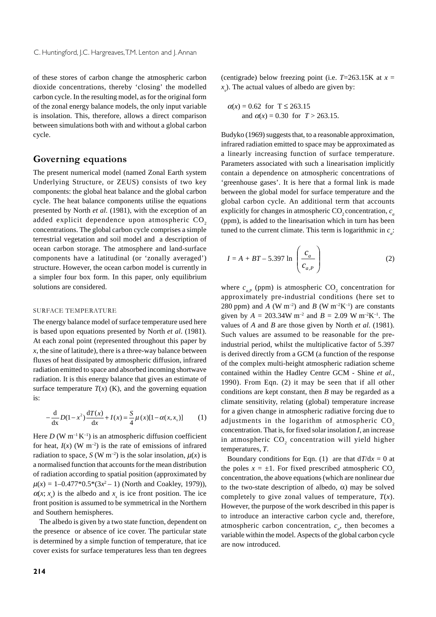of these stores of carbon change the atmospheric carbon dioxide concentrations, thereby 'closing' the modelled carbon cycle. In the resulting model, as for the original form of the zonal energy balance models, the only input variable is insolation. This, therefore, allows a direct comparison between simulations both with and without a global carbon cycle.

# **Governing equations**

The present numerical model (named Zonal Earth system Underlying Structure, or ZEUS) consists of two key components: the global heat balance and the global carbon cycle. The heat balance components utilise the equations presented by North *et al.* (1981), with the exception of an added explicit dependence upon atmospheric CO<sub>2</sub> concentrations. The global carbon cycle comprises a simple terrestrial vegetation and soil model and a description of ocean carbon storage. The atmosphere and land-surface components have a latitudinal (or 'zonally averaged') structure. However, the ocean carbon model is currently in a simpler four box form. In this paper, only equilibrium solutions are considered.

#### SURFACE TEMPERATURE

The energy balance model of surface temperature used here is based upon equations presented by North *et al*. (1981). At each zonal point (represented throughout this paper by  $x$ , the sine of latitude), there is a three-way balance between fluxes of heat dissipated by atmospheric diffusion, infrared radiation emitted to space and absorbed incoming shortwave radiation. It is this energy balance that gives an estimate of surface temperature  $T(x)$  (K), and the governing equation is:

$$
-\frac{d}{dx}D(1-x^2)\frac{dT(x)}{dx} + I(x) = \frac{S}{4}\mu(x)[1-\alpha(x,x_s)]
$$
 (1)

Here *D* (W  $m^{-1}K^{-1}$ ) is an atmospheric diffusion coefficient for heat,  $I(x)$  (W m<sup>-2</sup>) is the rate of emissions of infrared radiation to space, *S* (W m<sup>-2</sup>) is the solar insolation,  $\mu(x)$  is a normalised function that accounts for the mean distribution of radiation according to spatial position (approximated by  $\mu(x) = 1 - 0.477 \cdot 0.5 \cdot (3x^2 - 1)$  (North and Coakley, 1979)),  $\alpha(x; x_s)$  is the albedo and  $x_s$  is ice front position. The ice front position is assumed to be symmetrical in the Northern and Southern hemispheres.

The albedo is given by a two state function, dependent on the presence or absence of ice cover. The particular state is determined by a simple function of temperature, that ice cover exists for surface temperatures less than ten degrees

(centigrade) below freezing point (i.e.  $T=263.15K$  at  $x=$ *xs* ). The actual values of albedo are given by:

$$
\alpha(x) = 0.62
$$
 for  $T \le 263.15$   
and  $\alpha(x) = 0.30$  for  $T > 263.15$ .

Budyko (1969) suggests that, to a reasonable approximation, infrared radiation emitted to space may be approximated as a linearly increasing function of surface temperature. Parameters associated with such a linearisation implicitly contain a dependence on atmospheric concentrations of 'greenhouse gases'. It is here that a formal link is made between the global model for surface temperature and the global carbon cycle. An additional term that accounts explicitly for changes in atmospheric  $CO<sub>2</sub>$  concentration,  $c<sub>a</sub>$ (ppm), is added to the linearisation which in turn has been tuned to the current climate. This term is logarithmic in  $c_a$ :

$$
I = A + BT - 5.397 \ln \left( \frac{c_a}{c_{a,P}} \right)
$$
 (2)

where  $c_{a,P}$  (ppm) is atmospheric  $CO_2$  concentration for approximately pre-industrial conditions (here set to 280 ppm) and *A* (W m<sup>-2</sup>) and *B* (W m<sup>-2</sup>K<sup>-1</sup>) are constants given by  $A = 203.34W \text{ m}^{-2}$  and  $B = 2.09 W \text{ m}^{-2} \text{K}^{-1}$ . The values of *A* and *B* are those given by North *et al.* (1981). Such values are assumed to be reasonable for the preindustrial period, whilst the multiplicative factor of 5.397 is derived directly from a GCM (a function of the response of the complex multi-height atmospheric radiation scheme contained within the Hadley Centre GCM - Shine *et al.*, 1990). From Eqn. (2) it may be seen that if all other conditions are kept constant, then *B* may be regarded as a climate sensitivity, relating (global) temperature increase for a given change in atmospheric radiative forcing due to adjustments in the logarithm of atmospheric  $CO<sub>2</sub>$ concentration. That is, for fixed solar insolation *I*, an increase in atmospheric  $\mathrm{CO}_2$  concentration will yield higher temperatures, *T*.

Boundary conditions for Eqn. (1) are that  $dT/dx = 0$  at the poles  $x = \pm 1$ . For fixed prescribed atmospheric CO<sub>2</sub> concentration, the above equations (which are nonlinear due to the two-state description of albedo, α) may be solved completely to give zonal values of temperature, *T*(*x*). However, the purpose of the work described in this paper is to introduce an interactive carbon cycle and, therefore, atmospheric carbon concentration,  $c_a$ , then becomes a variable within the model. Aspects of the global carbon cycle are now introduced.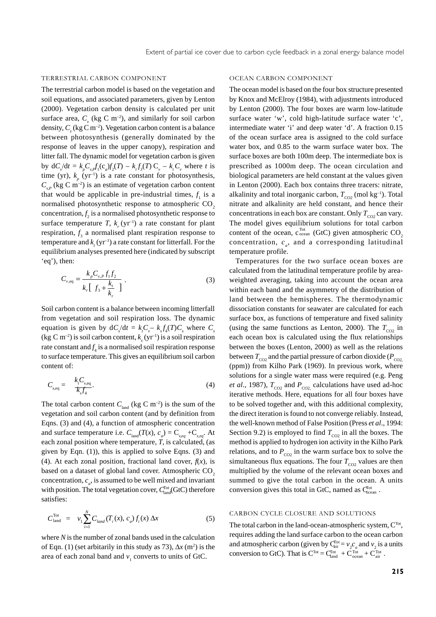#### TERRESTRIAL CARBON COMPONENT

The terrestrial carbon model is based on the vegetation and soil equations, and associated parameters, given by Lenton (2000). Vegetation carbon density is calculated per unit surface area,  $C_v$  (kg C m<sup>-2</sup>), and similarly for soil carbon density,  $C_s$  (kg C m<sup>-2</sup>). Vegetation carbon content is a balance between photosynthesis (generally dominated by the response of leaves in the upper canopy), respiration and litter fall. The dynamic model for vegetation carbon is given by  $dC_v/dt = k_p C_{v} f_1(c_a) f_2(T) - k_r f_3(T) C_v - k_r C_v$  where *t* is time (yr),  $k_p$  (yr<sup>-1</sup>) is a rate constant for photosynthesis,  $C_{v,p}$  (kg C m<sup>-2</sup>) is an estimate of vegetation carbon content that would be applicable in pre-industrial times,  $f_1$  is a normalised photosynthetic response to atmospheric CO<sub>2</sub>  $concentration, f<sub>2</sub>$  is a normalised photosynthetic response to surface temperature *T*,  $k_r$  (yr<sup>-1</sup>) a rate constant for plant respiration, *f* 3 a normalised plant respiration response to temperature and  $k_{_t}(\mathrm{yr}^{\scriptscriptstyle{-1}})$  a rate constant for litterfall. For the equilibrium analyses presented here (indicated by subscript 'eq'), then:

$$
C_{v,eq} = \frac{k_p C_{v,p} f_1 f_2}{k_r [f_3 + \frac{k_t}{k_r}]}.
$$
 (3)

Soil carbon content is a balance between incoming litterfall from vegetation and soil respiration loss. The dynamic equation is given by  $dC_s/dt = k_cC_v - k_s f_4(T)C_s$  where  $C_s$ (kg C m<sup>-2</sup>) is soil carbon content,  $k<sub>s</sub>$  (yr<sup>-1</sup>) is a soil respiration rate constant and  $f_4$  is a normalised soil respiration response to surface temperature. This gives an equilibrium soil carbon content of:

$$
C_{s,eq} = \frac{k_i C_{v,eq}}{k_s f_4}.
$$
\n<sup>(4)</sup>

The total carbon content  $C_{\text{load}}$  (kg C m<sup>-2</sup>) is the sum of the vegetation and soil carbon content (and by definition from Eqns. (3) and (4), a function of atmospheric concentration and surface temperature i.e.  $C_{\text{land}}(T(x), c_a) = C_{\text{v,eq}} + C_{\text{s,eq}}$ . At each zonal position where temperature, *T*, is calculated, (as given by Eqn. (1)), this is applied to solve Eqns. (3) and (4). At each zonal position, fractional land cover,  $f(x)$ , is based on a dataset of global land cover. Atmospheric CO<sub>2</sub> concentration,  $c_a$ , is assumed to be well mixed and invariant with position. The total vegetation cover,  $C_{\text{land}}^{\text{Tot}}(\text{GtC})$  therefore satisfies:

$$
C_{\text{land}}^{\text{Tot}} = v_1 \sum_{i=1}^{N} C_{\text{land}}(T_i(x), c_a) f_i(x) \Delta x \tag{5}
$$

where *N* is the number of zonal bands used in the calculation of Eqn. (1) (set arbitarily in this study as 73),  $\Delta x$  (m<sup>2</sup>) is the area of each zonal band and  $v_1$  converts to units of GtC.

#### OCEAN CARBON COMPONENT

The ocean model is based on the four box structure presented by Knox and McElroy (1984), with adjustments introduced by Lenton (2000). The four boxes are warm low-latitude surface water 'w', cold high-latitude surface water 'c', intermediate water 'i' and deep water 'd'. A fraction 0.15 of the ocean surface area is assigned to the cold surface water box, and 0.85 to the warm surface water box. The surface boxes are both 100m deep. The intermediate box is prescribed as 1000m deep. The ocean circulation and biological parameters are held constant at the values given in Lenton (2000). Each box contains three tracers: nitrate, alkalinity and total inorganic carbon,  $T_{CO2}$  (mol kg<sup>-1</sup>). Total nitrate and alkalinity are held constant, and hence their concentrations in each box are constant. Only  $T_{\text{CO2}}$  can vary. The model gives equilibrium solutions for total carbon content of the ocean,  $c_{\text{ocean}}^{\text{Tot}}$  (GtC) given atmospheric CO<sub>2</sub> concentration,  $c_a$ , and a corresponding latitudinal temperature profile.

Temperatures for the two surface ocean boxes are calculated from the latitudinal temperature profile by areaweighted averaging, taking into account the ocean area within each band and the asymmetry of the distribution of land between the hemispheres. The thermodynamic dissociation constants for seawater are calculated for each surface box, as functions of temperature and fixed salinity (using the same functions as Lenton, 2000). The  $T_{CO2}$  in each ocean box is calculated using the flux relationships between the boxes (Lenton, 2000) as well as the relations between  $T_{\text{CO2}}$  and the partial pressure of carbon dioxide ( $P_{\text{CO2}}$ ) (ppm)) from Kilho Park (1969). In previous work, where solutions for a single water mass were required (e.g. Peng *et al.*, 1987),  $T_{CO2}$  and  $P_{CO2}$  calculations have used ad-hoc iterative methods. Here, equations for all four boxes have to be solved together and, with this additional complexity, the direct iteration is found to not converge reliably. Instead, the well-known method of False Position (Press *et al*., 1994: Section 9.2) is employed to find  $T_{CO2}$  in all the boxes. The method is applied to hydrogen ion activity in the Kilho Park relations, and to  $P_{CO2}$  in the warm surface box to solve the simultaneous flux equations. The four  $T_{CO2}$  values are then multiplied by the volume of the relevant ocean boxes and summed to give the total carbon in the ocean. A units conversion gives this total in GtC, named as  $C_{\text{ocean}}^{\text{Tot}}$ .

#### CARBON CYCLE CLOSURE AND SOLUTIONS

The total carbon in the land-ocean-atmospheric system, C<sup>Tot</sup>, requires adding the land surface carbon to the ocean carbon and atmospheric carbon (given by  $\mathbf{C}_{\text{air}}^{\text{Tot}} = v_2 c_a$  and  $v_2$  is a units conversion to GtC). That is  $C^{Tot} = C_{land}^{Tot} + C_{ocean}^{Tot} + C_{air}^{Tot}$ .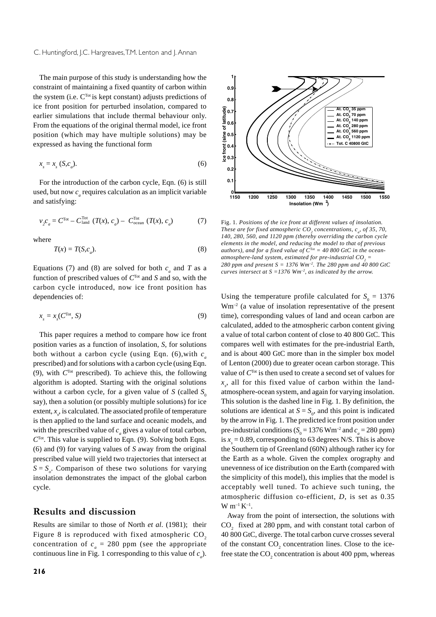The main purpose of this study is understanding how the constraint of maintaining a fixed quantity of carbon within the system (i.e.  $C<sup>Tot</sup>$  is kept constant) adjusts predictions of ice front position for perturbed insolation, compared to earlier simulations that include thermal behaviour only. From the equations of the original thermal model, ice front position (which may have multiple solutions) may be expressed as having the functional form

$$
x_s = x_s \text{ (S, } c_a \text{).} \tag{6}
$$

For the introduction of the carbon cycle, Eqn. (6) is still used, but now  $c_a$  requires calculation as an implicit variable and satisfying:

$$
v_2 c_a = C^{\text{Tot}} - C^{\text{Tot}}_{\text{land}} (T(x), c_a) - C^{\text{Tot}}_{\text{ocean}} (T(x), c_a)
$$
 (7)

where

$$
T(x) = T(S, c_a). \tag{8}
$$

Equations (7) and (8) are solved for both  $c_a$  and  $T$  as a function of prescribed values of *C*Tot and *S* and so, with the carbon cycle introduced, now ice front position has dependencies of:

$$
x_s = x_s(C^{\text{Tot}}, S) \tag{9}
$$

This paper requires a method to compare how ice front position varies as a function of insolation, *S*, for solutions both without a carbon cycle (using Eqn. (6),with *ca* prescribed) and for solutions with a carbon cycle (using Eqn. (9), with *C*Tot prescribed). To achieve this, the following algorithm is adopted. Starting with the original solutions without a carbon cycle, for a given value of *S* (called  $S_0$ ) say), then a solution (or possibly multiple solutions) for ice extent,  $x<sub>s</sub>$ , is calculated. The associated profile of temperature is then applied to the land surface and oceanic models, and with the prescribed value of  $c_a$  gives a value of total carbon,  $C<sup>Tot</sup>$ . This value is supplied to Eqn. (9). Solving both Eqns. (6) and (9) for varying values of *S* away from the original prescribed value will yield two trajectories that intersect at  $S = S_{\rho}$ . Comparison of these two solutions for varying insolation demonstrates the impact of the global carbon cycle.

# **Results and discussion**

Results are similar to those of North *et al*. (1981); their Figure 8 is reproduced with fixed atmospheric  $CO<sub>2</sub>$ concentration of  $c_a = 280$  ppm (see the appropriate continuous line in Fig. 1 corresponding to this value of  $c_a$ ).



Fig. 1*. Positions of the ice front at different values of insolation. These are for fixed atmospheric*  $CO_2$  concentrations,  $c_{a'}$  of 35, 70, *140, 280, 560, and 1120 ppm (thereby overriding the carbon cycle elements in the model, and reducing the model to that of previous authors), and for a fixed value of C*Tot *= 40 800 GtC in the ocean*atmosphere-land system, estimated for pre-industrial  $CO_{_2}$   $=$ *280 ppm and present S = 1376 Wm–2. The 280 ppm and 40 800 GtC curves intersect at S =1376 Wm–2, as indicated by the arrow.*

Using the temperature profile calculated for  $S_0 = 1376$  $Wm^{-2}$  (a value of insolation representative of the present time), corresponding values of land and ocean carbon are calculated, added to the atmospheric carbon content giving a value of total carbon content of close to 40 800 GtC. This compares well with estimates for the pre-industrial Earth, and is about 400 GtC more than in the simpler box model of Lenton (2000) due to greater ocean carbon storage. This value of *C*Tot is then used to create a second set of values for  $x<sub>s</sub>$ , all for this fixed value of carbon within the landatmosphere-ocean system, and again for varying insolation. This solution is the dashed line in Fig. 1. By definition, the solutions are identical at  $S = S_0$ , and this point is indicated by the arrow in Fig. 1. The predicted ice front position under pre-industrial conditions ( $S_0 = 1376$  Wm<sup>-2</sup> and  $c_a = 280$  ppm) is  $x<sub>s</sub> = 0.89$ , corresponding to 63 degrees N/S. This is above the Southern tip of Greenland (60N) although rather icy for the Earth as a whole. Given the complex orography and unevenness of ice distribution on the Earth (compared with the simplicity of this model), this implies that the model is acceptably well tuned. To achieve such tuning, the atmospheric diffusion co-efficient, *D*, is set as 0.35  $W$  m<sup>-1</sup> K<sup>-1</sup>.

Away from the point of intersection, the solutions with  $CO<sub>2</sub>$  fixed at 280 ppm, and with constant total carbon of 40 800 GtC, diverge. The total carbon curve crosses several of the constant  $CO_2$  concentration lines. Close to the icefree state the  $CO_2$  concentration is about 400 ppm, whereas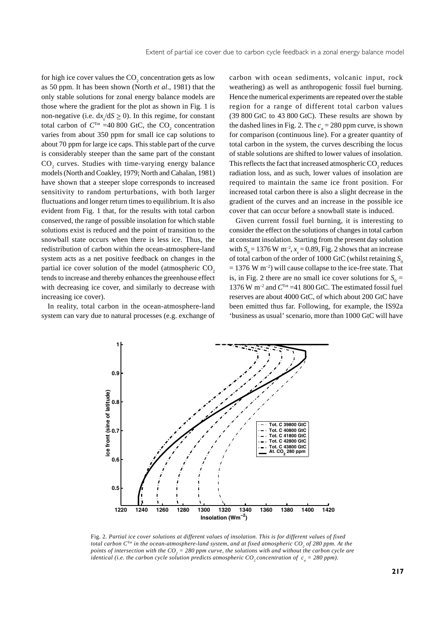for high ice cover values the  $CO_2$  concentration gets as low as 50 ppm. It has been shown (North *et al*., 1981) that the only stable solutions for zonal energy balance models are those where the gradient for the plot as shown in Fig. 1 is non-negative (i.e.  $dx/dS \ge 0$ ). In this regime, for constant total carbon of  $C^{Tot}$  =40 800 GtC, the  $CO_2$  concentration varies from about 350 ppm for small ice cap solutions to about 70 ppm for large ice caps. This stable part of the curve is considerably steeper than the same part of the constant  $\text{CO}_2$  curves. Studies with time-varying energy balance models (North and Coakley, 1979; North and Cahalan, 1981) have shown that a steeper slope corresponds to increased sensitivity to random perturbations, with both larger fluctuations and longer return times to equilibrium. It is also evident from Fig. 1 that, for the results with total carbon conserved, the range of possible insolation for which stable solutions exist is reduced and the point of transition to the snowball state occurs when there is less ice. Thus, the redistribution of carbon within the ocean-atmosphere-land system acts as a net positive feedback on changes in the partial ice cover solution of the model (atmospheric  $CO<sub>2</sub>$ tends to increase and thereby enhances the greenhouse effect with decreasing ice cover, and similarly to decrease with increasing ice cover).

In reality, total carbon in the ocean-atmosphere-land system can vary due to natural processes (e.g. exchange of

carbon with ocean sediments, volcanic input, rock weathering) as well as anthropogenic fossil fuel burning. Hence the numerical experiments are repeated over the stable region for a range of different total carbon values (39 800 GtC to 43 800 GtC). These results are shown by the dashed lines in Fig. 2. The  $c_a = 280$  ppm curve, is shown for comparison (continuous line). For a greater quantity of total carbon in the system, the curves describing the locus of stable solutions are shifted to lower values of insolation. This reflects the fact that increased atmospheric  $\mathrm{CO}_2$  reduces radiation loss, and as such, lower values of insolation are required to maintain the same ice front position. For increased total carbon there is also a slight decrease in the gradient of the curves and an increase in the possible ice cover that can occur before a snowball state is induced.

Given current fossil fuel burning, it is interesting to consider the effect on the solutions of changes in total carbon at constant insolation. Starting from the present day solution with  $S_0 = 1376$  W m<sup>-2</sup>,  $x_s = 0.89$ , Fig. 2 shows that an increase of total carbon of the order of 1000 GtC (whilst retaining  $S_0$  $= 1376$  W m<sup>-2</sup>) will cause collapse to the ice-free state. That is, in Fig. 2 there are no small ice cover solutions for  $S_0$  = 1376 W m–2 and *C*Tot =41 800 GtC. The estimated fossil fuel reserves are about 4000 GtC, of which about 200 GtC have been emitted thus far. Following, for example, the IS92a 'business as usual' scenario, more than 1000 GtC will have



Fig. 2*. Partial ice cover solutions at different values of insolation. This is for different values of fixed* total carbon C<sup>Tot</sup> in the ocean-atmosphere-land system, and at fixed atmospheric CO<sub>2</sub> of 280 ppm. At the points of intersection with the  $CO_{2}$  = 280 ppm curve, the solutions with and without the carbon cycle are *identical (i.e. the carbon cycle solution predicts atmospheric*  $CO_2$  *concentration of*  $c_a = 280$  *ppm).*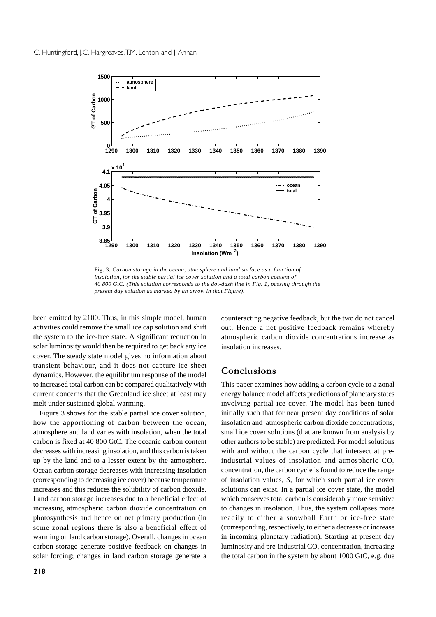

Fig. 3*. Carbon storage in the ocean, atmosphere and land surface as a function of insolation, for the stable partial ice cover solution and a total carbon content of 40 800 GtC. (This solution corresponds to the dot-dash line in Fig. 1, passing through the present day solution as marked by an arrow in that Figure).*

been emitted by 2100. Thus, in this simple model, human activities could remove the small ice cap solution and shift the system to the ice-free state. A significant reduction in solar luminosity would then be required to get back any ice cover. The steady state model gives no information about transient behaviour, and it does not capture ice sheet dynamics. However, the equilibrium response of the model to increased total carbon can be compared qualitatively with current concerns that the Greenland ice sheet at least may melt under sustained global warming.

Figure 3 shows for the stable partial ice cover solution, how the apportioning of carbon between the ocean, atmosphere and land varies with insolation, when the total carbon is fixed at 40 800 GtC. The oceanic carbon content decreases with increasing insolation, and this carbon is taken up by the land and to a lesser extent by the atmosphere. Ocean carbon storage decreases with increasing insolation (corresponding to decreasing ice cover) because temperature increases and this reduces the solubility of carbon dioxide. Land carbon storage increases due to a beneficial effect of increasing atmospheric carbon dioxide concentration on photosynthesis and hence on net primary production (in some zonal regions there is also a beneficial effect of warming on land carbon storage). Overall, changes in ocean carbon storage generate positive feedback on changes in solar forcing; changes in land carbon storage generate a

counteracting negative feedback, but the two do not cancel out. Hence a net positive feedback remains whereby atmospheric carbon dioxide concentrations increase as insolation increases.

## Conclusions

This paper examines how adding a carbon cycle to a zonal energy balance model affects predictions of planetary states involving partial ice cover. The model has been tuned initially such that for near present day conditions of solar insolation and atmospheric carbon dioxide concentrations, small ice cover solutions (that are known from analysis by other authors to be stable) are predicted. For model solutions with and without the carbon cycle that intersect at preindustrial values of insolation and atmospheric  $CO<sub>2</sub>$ concentration, the carbon cycle is found to reduce the range of insolation values, *S*, for which such partial ice cover solutions can exist. In a partial ice cover state, the model which conserves total carbon is considerably more sensitive to changes in insolation. Thus, the system collapses more readily to either a snowball Earth or ice-free state (corresponding, respectively, to either a decrease or increase in incoming planetary radiation). Starting at present day luminosity and pre-industrial  $\mathrm{CO}_2$  concentration, increasing the total carbon in the system by about 1000 GtC, e.g. due